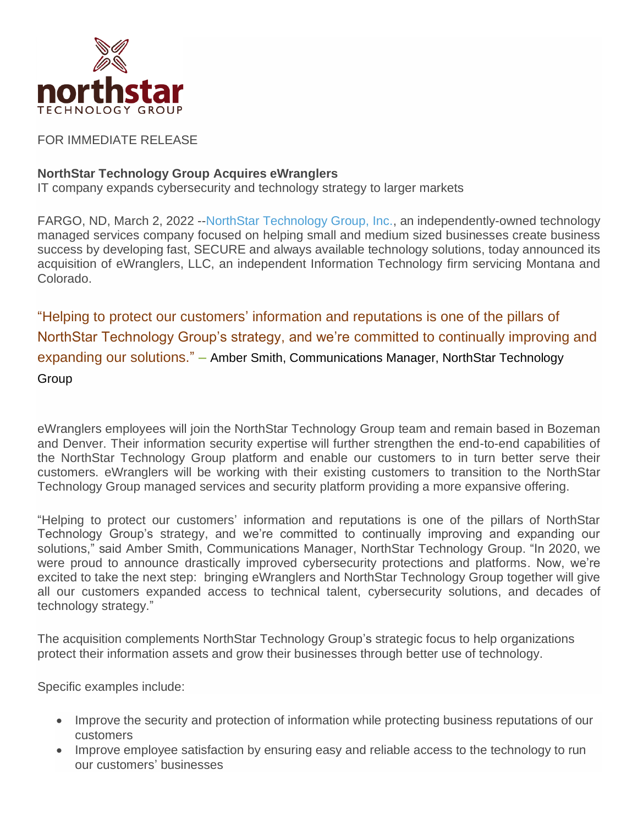

FOR IMMEDIATE RELEASE

## **NorthStar Technology Group Acquires eWranglers**

IT company expands cybersecurity and technology strategy to larger markets

FARGO, ND, March 2, 2022 -[-NorthStar Technology Group, Inc.,](https://www.northstartechnologygroup.com/) an independently-owned technology managed services company focused on helping small and medium sized businesses create business success by developing fast, SECURE and always available technology solutions, today announced its acquisition of eWranglers, LLC, an independent Information Technology firm servicing Montana and Colorado.

"Helping to protect our customers' information and reputations is one of the pillars of NorthStar Technology Group's strategy, and we're committed to continually improving and expanding our solutions." – Amber Smith, Communications Manager, NorthStar Technology **Group** 

eWranglers employees will join the NorthStar Technology Group team and remain based in Bozeman and Denver. Their information security expertise will further strengthen the end-to-end capabilities of the NorthStar Technology Group platform and enable our customers to in turn better serve their customers. eWranglers will be working with their existing customers to transition to the NorthStar Technology Group managed services and security platform providing a more expansive offering.

"Helping to protect our customers' information and reputations is one of the pillars of NorthStar Technology Group's strategy, and we're committed to continually improving and expanding our solutions," said Amber Smith, Communications Manager, NorthStar Technology Group. "In 2020, we were proud to announce drastically improved cybersecurity protections and platforms. Now, we're excited to take the next step: bringing eWranglers and NorthStar Technology Group together will give all our customers expanded access to technical talent, cybersecurity solutions, and decades of technology strategy."

The acquisition complements NorthStar Technology Group's strategic focus to help organizations protect their information assets and grow their businesses through better use of technology.

Specific examples include:

- Improve the security and protection of information while protecting business reputations of our customers
- Improve employee satisfaction by ensuring easy and reliable access to the technology to run our customers' businesses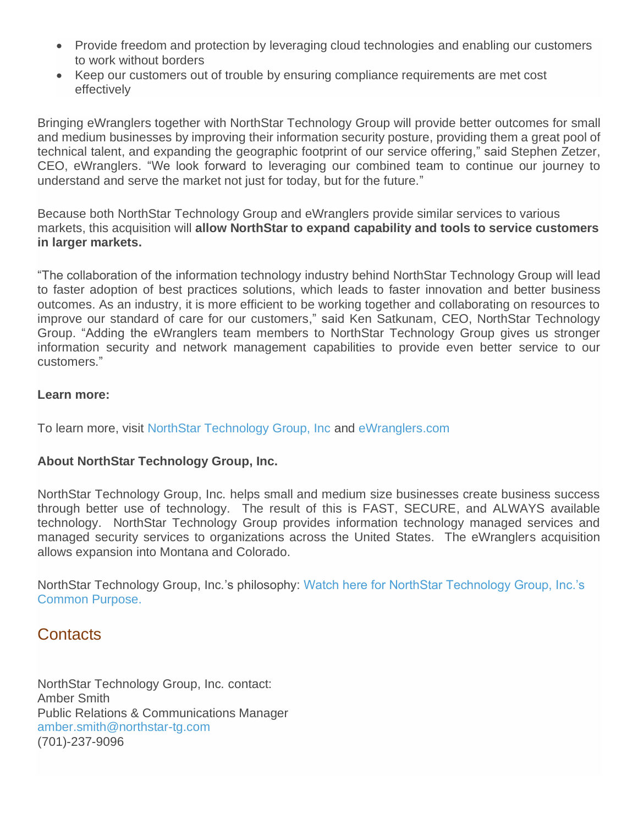- Provide freedom and protection by leveraging cloud technologies and enabling our customers to work without borders
- Keep our customers out of trouble by ensuring compliance requirements are met cost effectively

Bringing eWranglers together with NorthStar Technology Group will provide better outcomes for small and medium businesses by improving their information security posture, providing them a great pool of technical talent, and expanding the geographic footprint of our service offering," said Stephen Zetzer, CEO, eWranglers. "We look forward to leveraging our combined team to continue our journey to understand and serve the market not just for today, but for the future."

Because both NorthStar Technology Group and eWranglers provide similar services to various markets, this acquisition will **allow NorthStar to expand capability and tools to service customers in larger markets.**

"The collaboration of the information technology industry behind NorthStar Technology Group will lead to faster adoption of best practices solutions, which leads to faster innovation and better business outcomes. As an industry, it is more efficient to be working together and collaborating on resources to improve our standard of care for our customers," said Ken Satkunam, CEO, NorthStar Technology Group. "Adding the eWranglers team members to NorthStar Technology Group gives us stronger information security and network management capabilities to provide even better service to our customers."

## **Learn more:**

To learn more, visit [NorthStar Technology Group, Inc](https://www.northstartechnologygroup.com/) and [eWranglers.com](https://www.smallcyber.expert/)

## **About NorthStar Technology Group, Inc.**

NorthStar Technology Group, Inc. helps small and medium size businesses create business success through better use of technology. The result of this is FAST, SECURE, and ALWAYS available technology. NorthStar Technology Group provides information technology managed services and managed security services to organizations across the United States. The eWranglers acquisition allows expansion into Montana and Colorado.

NorthStar Technology Group, Inc.'s philosophy: [Watch here for NorthStar Technology Group, Inc.'s](https://northstartechnologygroup.com/about-us/)  [Common Purpose.](https://northstartechnologygroup.com/about-us/)

## **Contacts**

NorthStar Technology Group, Inc. contact: Amber Smith Public Relations & Communications Manager [amber.smith@northstar-tg.com](mailto:amber.smith@northstar-tg.com) (701)-237-9096